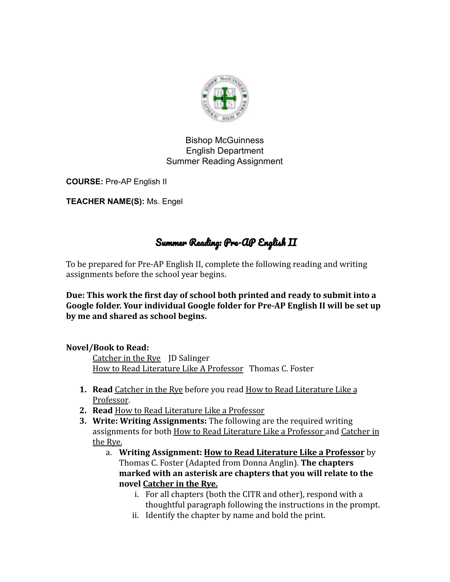

#### Bishop McGuinness English Department Summer Reading Assignment

**COURSE:** Pre-AP English II

**TEACHER NAME(S):** Ms. Engel

# Summer Reading: Pre-AP English II

To be prepared for Pre-AP English II, complete the following reading and writing assignments before the school year begins.

**Due: This work the first day of school both printed and ready to submit into a Google folder. Your individual Google folder for Pre-AP English II will be set up by me and shared as school begins.**

## **Novel/Book to Read:**

Catcher in the Rye JD Salinger How to Read Literature Like A Professor Thomas C. Foster

- **1. Read** Catcher in the Rye before you read How to Read Literature Like a Professor.
- **2. Read** How to Read Literature Like a Professor
- **3. Write: Writing Assignments:** The following are the required writing assignments for both How to Read Literature Like a Professor and Catcher in the Rye.
	- a. **Writing Assignment: How to Read Literature Like a Professor** by Thomas C. Foster (Adapted from Donna Anglin). **The chapters marked with an asterisk are chapters that you will relate to the novel Catcher in the Rye.**
		- i. For all chapters (both the CITR and other), respond with a thoughtful paragraph following the instructions in the prompt.
		- ii. Identify the chapter by name and bold the print.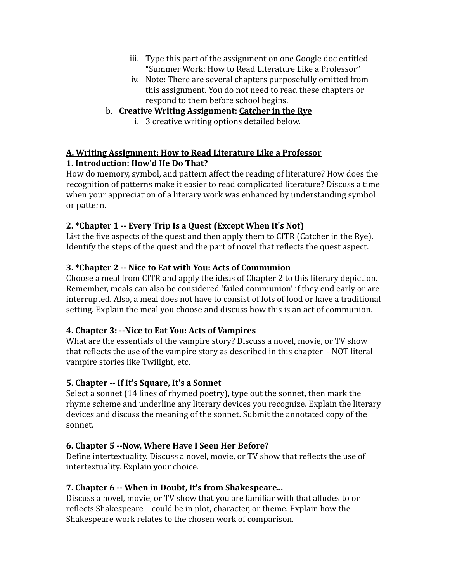- iii. Type this part of the assignment on one Google doc entitled "Summer Work: How to Read Literature Like a Professor"
- iv. Note: There are several chapters purposefully omitted from this assignment. You do not need to read these chapters or respond to them before school begins.

# b. **Creative Writing Assignment: Catcher in the Rye**

i. 3 creative writing options detailed below.

# **A. Writing Assignment: How to Read Literature Like a Professor**

# **1. Introduction: How'd He Do That?**

How do memory, symbol, and pattern affect the reading of literature? How does the recognition of patterns make it easier to read complicated literature? Discuss a time when your appreciation of a literary work was enhanced by understanding symbol or pattern.

# **2. \*Chapter 1 -- Every Trip Is a Quest (Except When It's Not)**

List the five aspects of the quest and then apply them to CITR (Catcher in the Rye). Identify the steps of the quest and the part of novel that reflects the quest aspect.

# **3. \*Chapter 2 -- Nice to Eat with You: Acts of Communion**

Choose a meal from CITR and apply the ideas of Chapter 2 to this literary depiction. Remember, meals can also be considered 'failed communion' if they end early or are interrupted. Also, a meal does not have to consist of lots of food or have a traditional setting. Explain the meal you choose and discuss how this is an act of communion.

# **4. Chapter 3: --Nice to Eat You: Acts of Vampires**

What are the essentials of the vampire story? Discuss a novel, movie, or TV show that reflects the use of the vampire story as described in this chapter - NOT literal vampire stories like Twilight, etc.

# **5. Chapter -- If It's Square, It's a Sonnet**

Select a sonnet (14 lines of rhymed poetry), type out the sonnet, then mark the rhyme scheme and underline any literary devices you recognize. Explain the literary devices and discuss the meaning of the sonnet. Submit the annotated copy of the sonnet.

## **6. Chapter 5 --Now, Where Have I Seen Her Before?**

Define intertextuality. Discuss a novel, movie, or TV show that reflects the use of intertextuality. Explain your choice.

## **7. Chapter 6 -- When in Doubt, It's from Shakespeare...**

Discuss a novel, movie, or TV show that you are familiar with that alludes to or reflects Shakespeare – could be in plot, character, or theme. Explain how the Shakespeare work relates to the chosen work of comparison.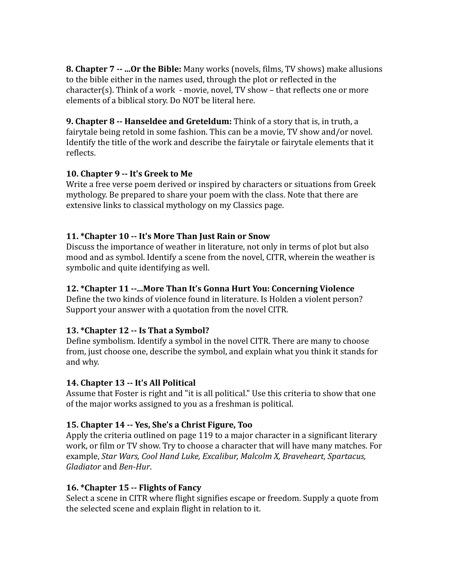**8. Chapter 7 -- ...Or the Bible:** Many works (novels, films, TV shows) make allusions to the bible either in the names used, through the plot or reflected in the character(s). Think of a work - movie, novel, TV show – that reflects one or more elements of a biblical story. Do NOT be literal here.

**9. Chapter 8 -- Hanseldee and Greteldum:** Think of a story that is, in truth, a fairytale being retold in some fashion. This can be a movie, TV show and/or novel. Identify the title of the work and describe the fairytale or fairytale elements that it reflects.

#### **10. Chapter 9 -- It's Greek to Me**

Write a free verse poem derived or inspired by characters or situations from Greek mythology. Be prepared to share your poem with the class. Note that there are extensive links to classical mythology on my Classics page.

## **11. \*Chapter 10 -- It's More Than Just Rain or Snow**

Discuss the importance of weather in literature, not only in terms of plot but also mood and as symbol. Identify a scene from the novel, CITR, wherein the weather is symbolic and quite identifying as well.

## **12. \*Chapter 11 --...More Than It's Gonna Hurt You: Concerning Violence**

Define the two kinds of violence found in literature. Is Holden a violent person? Support your answer with a quotation from the novel CITR.

## **13. \*Chapter 12 -- Is That a Symbol?**

Define symbolism. Identify a symbol in the novel CITR. There are many to choose from, just choose one, describe the symbol, and explain what you think it stands for and why.

## **14. Chapter 13 -- It's All Political**

Assume that Foster is right and "it is all political." Use this criteria to show that one of the major works assigned to you as a freshman is political.

## **15. Chapter 14 -- Yes, She's a Christ Figure, Too**

Apply the criteria outlined on page 119 to a major character in a significant literary work, or film or TV show. Try to choose a character that will have many matches. For example, *Star Wars, Cool Hand Luke, Excalibur, Malcolm X, Braveheart, Spartacus, Gladiator* and *Ben-Hur*.

## **16. \*Chapter 15 -- Flights of Fancy**

Select a scene in CITR where flight signifies escape or freedom. Supply a quote from the selected scene and explain flight in relation to it.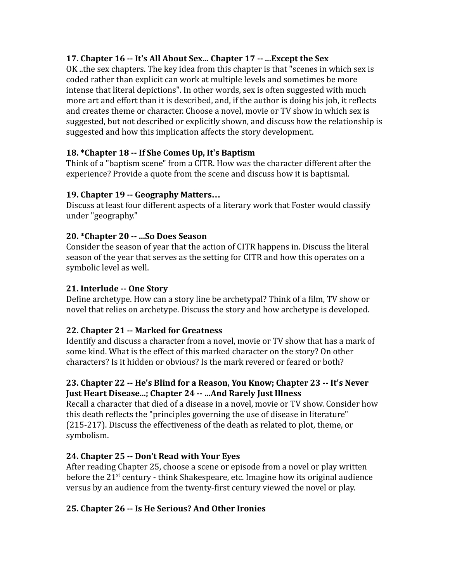## **17. Chapter 16 -- It's All About Sex... Chapter 17 -- ...Except the Sex**

OK ..the sex chapters. The key idea from this chapter is that "scenes in which sex is coded rather than explicit can work at multiple levels and sometimes be more intense that literal depictions". In other words, sex is often suggested with much more art and effort than it is described, and, if the author is doing his job, it reflects and creates theme or character. Choose a novel, movie or TV show in which sex is suggested, but not described or explicitly shown, and discuss how the relationship is suggested and how this implication affects the story development.

#### **18. \*Chapter 18 -- If She Comes Up, It's Baptism**

Think of a "baptism scene" from a CITR. How was the character different after the experience? Provide a quote from the scene and discuss how it is baptismal.

#### **19. Chapter 19 -- Geography Matters…**

Discuss at least four different aspects of a literary work that Foster would classify under "geography."

#### **20. \*Chapter 20 -- ...So Does Season**

Consider the season of year that the action of CITR happens in. Discuss the literal season of the year that serves as the setting for CITR and how this operates on a symbolic level as well.

#### **21. Interlude -- One Story**

Define archetype. How can a story line be archetypal? Think of a film, TV show or novel that relies on archetype. Discuss the story and how archetype is developed.

#### **22. Chapter 21 -- Marked for Greatness**

Identify and discuss a character from a novel, movie or TV show that has a mark of some kind. What is the effect of this marked character on the story? On other characters? Is it hidden or obvious? Is the mark revered or feared or both?

#### **23. Chapter 22 -- He's Blind for a Reason, You Know; Chapter 23 -- It's Never Just Heart Disease...; Chapter 24 -- ...And Rarely Just Illness**

Recall a character that died of a disease in a novel, movie or TV show. Consider how this death reflects the "principles governing the use of disease in literature" (215-217). Discuss the effectiveness of the death as related to plot, theme, or symbolism.

## **24. Chapter 25 -- Don't Read with Your Eyes**

After reading Chapter 25, choose a scene or episode from a novel or play written before the  $21^{st}$  century - think Shakespeare, etc. Imagine how its original audience versus by an audience from the twenty-first century viewed the novel or play.

## **25. Chapter 26 -- Is He Serious? And Other Ironies**